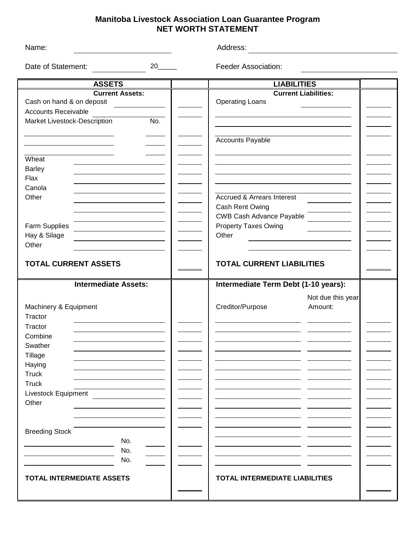## **Manitoba Livestock Association Loan Guarantee Program NET WORTH STATEMENT**

| Name:                               |    | Address:                              |                   |  |
|-------------------------------------|----|---------------------------------------|-------------------|--|
| Date of Statement:                  | 20 | <b>Feeder Association:</b>            |                   |  |
| <b>ASSETS</b>                       |    | <b>LIABILITIES</b>                    |                   |  |
| <b>Current Assets:</b>              |    | <b>Current Liabilities:</b>           |                   |  |
| Cash on hand & on deposit           |    | <b>Operating Loans</b>                |                   |  |
| <b>Accounts Receivable</b>          |    |                                       |                   |  |
| No.<br>Market Livestock-Description |    |                                       |                   |  |
|                                     |    |                                       |                   |  |
|                                     |    | <b>Accounts Payable</b>               |                   |  |
|                                     |    |                                       |                   |  |
| Wheat                               |    |                                       |                   |  |
| <b>Barley</b>                       |    |                                       |                   |  |
| Flax                                |    |                                       |                   |  |
| Canola                              |    |                                       |                   |  |
| Other                               |    | <b>Accrued &amp; Arrears Interest</b> |                   |  |
|                                     |    | Cash Rent Owing                       |                   |  |
|                                     |    | <b>CWB Cash Advance Payable</b>       |                   |  |
| Farm Supplies                       |    | <b>Property Taxes Owing</b>           |                   |  |
| Hay & Silage                        |    | Other                                 |                   |  |
| Other                               |    |                                       |                   |  |
| <b>TOTAL CURRENT ASSETS</b>         |    | <b>TOTAL CURRENT LIABILITIES</b>      |                   |  |
| <b>Intermediate Assets:</b>         |    | Intermediate Term Debt (1-10 years):  |                   |  |
|                                     |    |                                       | Not due this year |  |
| Machinery & Equipment               |    | Creditor/Purpose                      | Amount:           |  |
| Tractor                             |    |                                       |                   |  |
| Tractor                             |    |                                       |                   |  |
| Combine                             |    |                                       |                   |  |
|                                     |    |                                       |                   |  |
| Swather                             |    |                                       |                   |  |
| Tillage                             |    |                                       |                   |  |
| Haying<br><b>Truck</b>              |    |                                       |                   |  |
| <b>Truck</b>                        |    |                                       |                   |  |
|                                     |    |                                       |                   |  |
| Livestock Equipment                 |    |                                       |                   |  |
| Other                               |    |                                       |                   |  |
|                                     |    |                                       |                   |  |
|                                     |    |                                       |                   |  |
| <b>Breeding Stock</b>               |    |                                       |                   |  |
| No.                                 |    |                                       |                   |  |
| No.                                 |    |                                       |                   |  |
| No.                                 |    |                                       |                   |  |
| <b>TOTAL INTERMEDIATE ASSETS</b>    |    | <b>TOTAL INTERMEDIATE LIABILITIES</b> |                   |  |